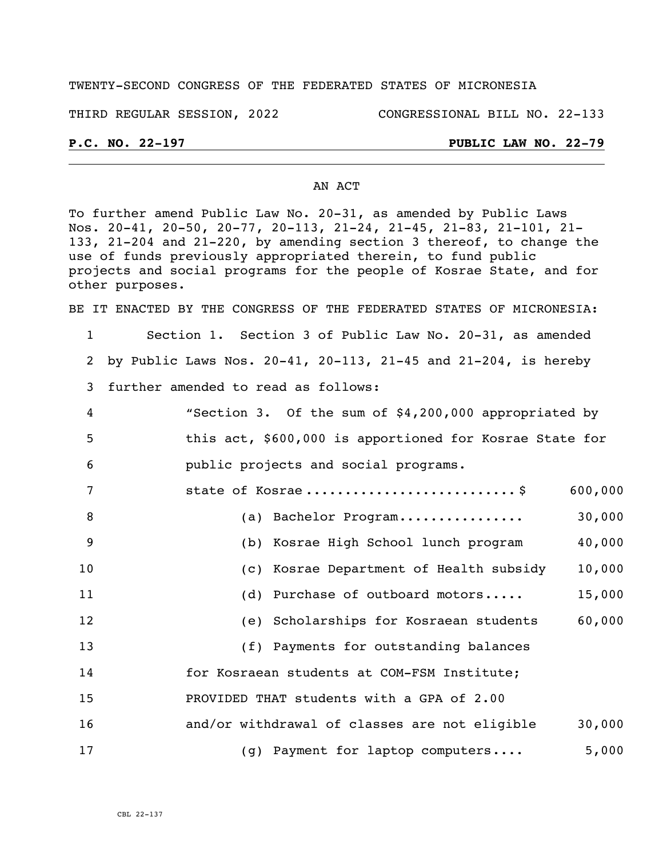## TWENTY-SECOND CONGRESS OF THE FEDERATED STATES OF MICRONESIA

#### THIRD REGULAR SESSION, 2022 CONGRESSIONAL BILL NO. 22-133

## **P.C. NO. 22-197 PUBLIC LAW NO. 22-79**

### AN ACT

To further amend Public Law No. 20-31, as amended by Public Laws Nos. 20-41, 20-50, 20-77, 20-113, 21-24, 21-45, 21-83, 21-101, 21- 133, 21-204 and 21-220, by amending section 3 thereof, to change the use of funds previously appropriated therein, to fund public projects and social programs for the people of Kosrae State, and for other purposes.

BE IT ENACTED BY THE CONGRESS OF THE FEDERATED STATES OF MICRONESIA:

- 1 Section 1. Section 3 of Public Law No. 20-31, as amended 2 by Public Laws Nos. 20-41, 20-113, 21-45 and 21-204, is hereby 3 further amended to read as follows:
- 4 "Section 3. Of the sum of \$4,200,000 appropriated by 5 this act, \$600,000 is apportioned for Kosrae State for 6 public projects and social programs.
- 7 state of Kosrae ...............................\$ 600,000 8 (a) Bachelor Program................ 30,000 9 (b) Kosrae High School lunch program 40,000 10 (c) Kosrae Department of Health subsidy 10,000
- 11 (d) Purchase of outboard motors..... 15,000 12 (e) Scholarships for Kosraean students 60,000
- 13 (f) Payments for outstanding balances 14 for Kosraean students at COM-FSM Institute; 15 PROVIDED THAT students with a GPA of 2.00 16 and/or withdrawal of classes are not eligible 30,000 17 (g) Payment for laptop computers.... 5,000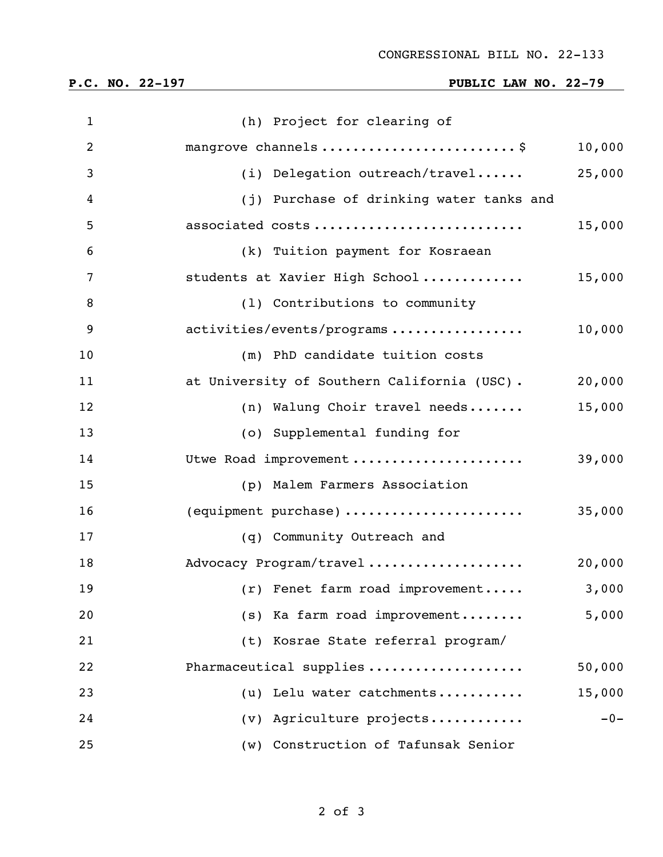# **P.C. NO. 22-197 PUBLIC LAW NO. 22-79**

| $\mathbf{1}$   | (h) Project for clearing of                 |        |
|----------------|---------------------------------------------|--------|
| $\overline{2}$ | mangrove channels  \$                       | 10,000 |
| 3              | (i) Delegation outreach/travel              | 25,000 |
| 4              | (j) Purchase of drinking water tanks and    |        |
| 5              | associated costs                            | 15,000 |
| 6              | (k) Tuition payment for Kosraean            |        |
| 7              | students at Xavier High School              | 15,000 |
| 8              | (1) Contributions to community              |        |
| 9              | activities/events/programs                  | 10,000 |
| 10             | (m) PhD candidate tuition costs             |        |
| 11             | at University of Southern California (USC). | 20,000 |
| 12             | (n) Walung Choir travel needs               | 15,000 |
| 13             | (o) Supplemental funding for                |        |
| 14             | Utwe Road improvement                       | 39,000 |
| 15             | (p) Malem Farmers Association               |        |
| 16             | (equipment purchase)                        | 35,000 |
| 17             | (q) Community Outreach and                  |        |
| 18             | Advocacy Program/travel                     | 20,000 |
| 19             | $(r)$ Fenet farm road improvement           | 3,000  |
| 20             | (s) Ka farm road improvement                | 5,000  |
| 21             | (t) Kosrae State referral program/          |        |
| 22             | Pharmaceutical supplies                     | 50,000 |
| 23             | (u) Lelu water catchments                   | 15,000 |
| 24             | (v) Agriculture projects                    | $-0-$  |
| 25             | Construction of Tafunsak Senior<br>(w)      |        |